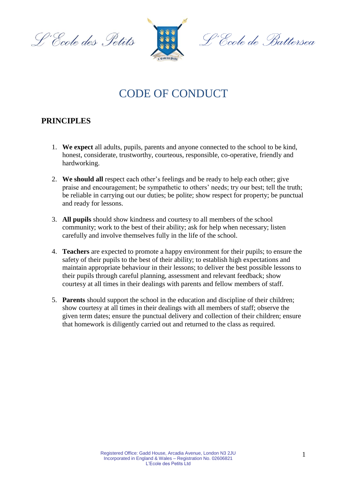L'École des Petits



<sup>n.</sup>Ccole de Battersea

# CODE OF CONDUCT

# **PRINCIPLES**

- 1. **We expect** all adults, pupils, parents and anyone connected to the school to be kind, honest, considerate, trustworthy, courteous, responsible, co-operative, friendly and hardworking.
- 2. **We should all** respect each other's feelings and be ready to help each other; give praise and encouragement; be sympathetic to others' needs; try our best; tell the truth; be reliable in carrying out our duties; be polite; show respect for property; be punctual and ready for lessons.
- 3. **All pupils** should show kindness and courtesy to all members of the school community; work to the best of their ability; ask for help when necessary; listen carefully and involve themselves fully in the life of the school.
- 4. **Teachers** are expected to promote a happy environment for their pupils; to ensure the safety of their pupils to the best of their ability; to establish high expectations and maintain appropriate behaviour in their lessons; to deliver the best possible lessons to their pupils through careful planning, assessment and relevant feedback; show courtesy at all times in their dealings with parents and fellow members of staff.
- 5. **Parents** should support the school in the education and discipline of their children; show courtesy at all times in their dealings with all members of staff; observe the given term dates; ensure the punctual delivery and collection of their children; ensure that homework is diligently carried out and returned to the class as required.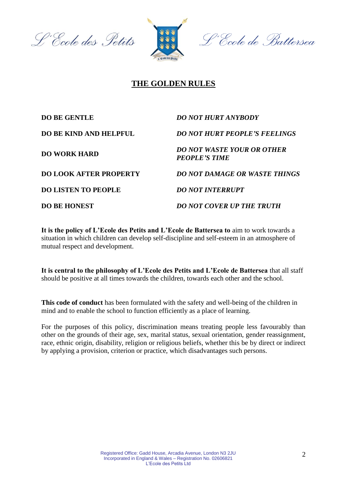L'Ecole des Petits



# **THE GOLDEN RULES**

| <b>DO BE GENTLE</b>           | <b>DO NOT HURT ANYBODY</b>                                |
|-------------------------------|-----------------------------------------------------------|
| <b>DO BE KIND AND HELPFUL</b> | <b>DO NOT HURT PEOPLE'S FEELINGS</b>                      |
| <b>DO WORK HARD</b>           | <b>DO NOT WASTE YOUR OR OTHER</b><br><b>PEOPLE'S TIME</b> |
| <b>DO LOOK AFTER PROPERTY</b> | <b>DO NOT DAMAGE OR WASTE THINGS</b>                      |
| <b>DO LISTEN TO PEOPLE</b>    | <b>DO NOT INTERRUPT</b>                                   |
| <b>DO BE HONEST</b>           | <b>DO NOT COVER UP THE TRUTH</b>                          |

**It is the policy of L'Ecole des Petits and L'Ecole de Battersea to** aim to work towards a situation in which children can develop self-discipline and self-esteem in an atmosphere of mutual respect and development.

**It is central to the philosophy of L'Ecole des Petits and L'Ecole de Battersea** that all staff should be positive at all times towards the children, towards each other and the school.

**This code of conduct** has been formulated with the safety and well-being of the children in mind and to enable the school to function efficiently as a place of learning.

For the purposes of this policy, discrimination means treating people less favourably than other on the grounds of their age, sex, marital status, sexual orientation, gender reassignment, race, ethnic origin, disability, religion or religious beliefs, whether this be by direct or indirect by applying a provision, criterion or practice, which disadvantages such persons.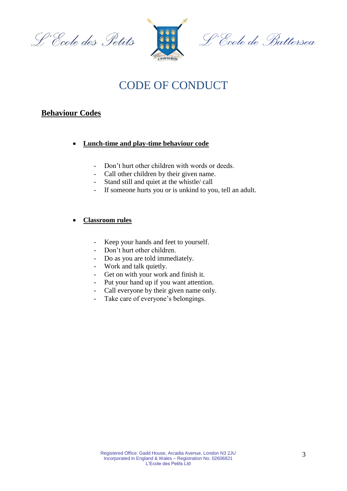



# CODE OF CONDUCT

# **Behaviour Codes**

- **Lunch-time and play-time behaviour code**
	- Don't hurt other children with words or deeds.
	- Call other children by their given name.
	- Stand still and quiet at the whistle/ call
	- If someone hurts you or is unkind to you, tell an adult.

#### **Classroom rules**

- Keep your hands and feet to yourself.
- Don't hurt other children.
- Do as you are told immediately.
- Work and talk quietly.
- Get on with your work and finish it.
- Put your hand up if you want attention.
- Call everyone by their given name only.
- Take care of everyone's belongings.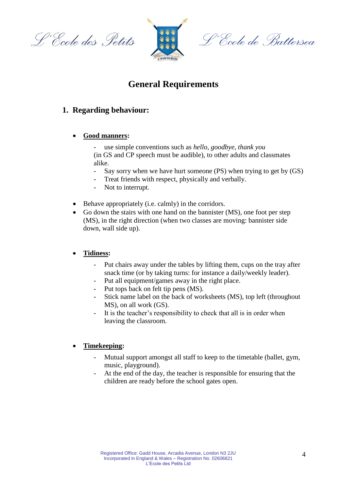L'École des Petits



L'Ecole de Battersea

# **General Requirements**

# **1. Regarding behaviour:**

#### **Good manners:**

- use simple conventions such as *hello*, *goodbye*, *thank you* (in GS and CP speech must be audible), to other adults and classmates alike.

- Say sorry when we have hurt someone  $(PS)$  when trying to get by  $(GS)$
- Treat friends with respect, physically and verbally.
- Not to interrupt.
- Behave appropriately (i.e. calmly) in the corridors.
- Go down the stairs with one hand on the bannister (MS), one foot per step (MS), in the right direction (when two classes are moving: bannister side down, wall side up).

#### **Tidiness:**

- Put chairs away under the tables by lifting them, cups on the tray after snack time (or by taking turns: for instance a daily/weekly leader).
- Put all equipment/games away in the right place.
- Put tops back on felt tip pens (MS).
- Stick name label on the back of worksheets (MS), top left (throughout MS), on all work (GS).
- It is the teacher's responsibility to check that all is in order when leaving the classroom.

#### **Timekeeping:**

- Mutual support amongst all staff to keep to the timetable (ballet, gym, music, playground).
- At the end of the day, the teacher is responsible for ensuring that the children are ready before the school gates open.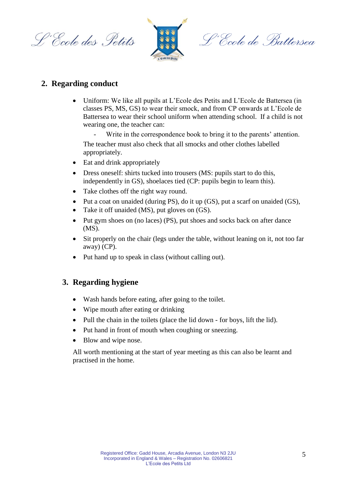L'Ecole des Petits



L'École de Battersea

# **2. Regarding conduct**

 Uniform: We like all pupils at L'Ecole des Petits and L'Ecole de Battersea (in classes PS, MS, GS) to wear their smock, and from CP onwards at L'Ecole de Battersea to wear their school uniform when attending school. If a child is not wearing one, the teacher can:

Write in the correspondence book to bring it to the parents' attention. The teacher must also check that all smocks and other clothes labelled appropriately.

- Eat and drink appropriately
- Dress oneself: shirts tucked into trousers (MS: pupils start to do this, independently in GS), shoelaces tied (CP: pupils begin to learn this).
- Take clothes off the right way round.
- Put a coat on unaided (during PS), do it up (GS), put a scarf on unaided (GS),
- Take it off unaided (MS), put gloves on (GS).
- Put gym shoes on (no laces) (PS), put shoes and socks back on after dance (MS).
- Sit properly on the chair (legs under the table, without leaning on it, not too far away) (CP).
- Put hand up to speak in class (without calling out).

### **3. Regarding hygiene**

- Wash hands before eating, after going to the toilet.
- Wipe mouth after eating or drinking
- Pull the chain in the toilets (place the lid down for boys, lift the lid).
- Put hand in front of mouth when coughing or sneezing.
- Blow and wipe nose.

All worth mentioning at the start of year meeting as this can also be learnt and practised in the home.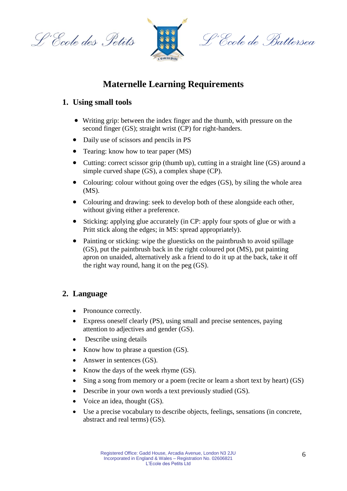L'École des Petits



L'École de Battersea

# **Maternelle Learning Requirements**

# **1. Using small tools**

- Writing grip: between the index finger and the thumb, with pressure on the second finger (GS); straight wrist (CP) for right-handers.
- Daily use of scissors and pencils in PS
- Tearing: know how to tear paper (MS)
- Cutting: correct scissor grip (thumb up), cutting in a straight line (GS) around a simple curved shape (GS), a complex shape (CP).
- Colouring: colour without going over the edges (GS), by siling the whole area (MS).
- Colouring and drawing: seek to develop both of these alongside each other, without giving either a preference.
- Sticking: applying glue accurately (in CP: apply four spots of glue or with a Pritt stick along the edges; in MS: spread appropriately).
- Painting or sticking: wipe the gluesticks on the paintbrush to avoid spillage (GS), put the paintbrush back in the right coloured pot (MS), put painting apron on unaided, alternatively ask a friend to do it up at the back, take it off the right way round, hang it on the peg (GS).

# **2. Language**

- Pronounce correctly.
- Express oneself clearly (PS), using small and precise sentences, paying attention to adjectives and gender (GS).
- Describe using details
- Know how to phrase a question (GS).
- Answer in sentences (GS).
- Know the days of the week rhyme (GS).
- Sing a song from memory or a poem (recite or learn a short text by heart) (GS)
- Describe in your own words a text previously studied (GS).
- Voice an idea, thought (GS).
- Use a precise vocabulary to describe objects, feelings, sensations (in concrete, abstract and real terms) (GS).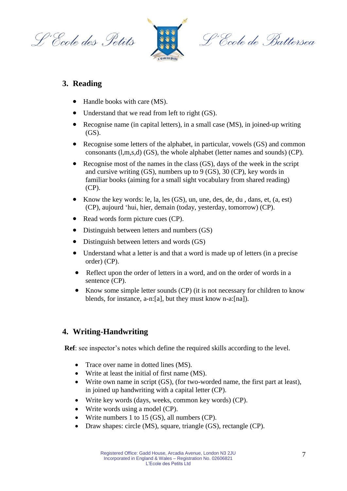L'Ecole des Petits



L'École de Battersea

# **3. Reading**

- Handle books with care (MS).
- Understand that we read from left to right (GS).
- Recognise name (in capital letters), in a small case (MS), in joined-up writing (GS).
- Recognise some letters of the alphabet, in particular, vowels (GS) and common consonants (l,m,s,d) (GS), the whole alphabet (letter names and sounds) (CP).
- Recognise most of the names in the class (GS), days of the week in the script and cursive writing (GS), numbers up to 9 (GS), 30 (CP), key words in familiar books (aiming for a small sight vocabulary from shared reading) (CP).
- Know the key words: le, la, les (GS), un, une, des, de, du , dans, et, (a, est) (CP), aujourd 'hui, hier, demain (today, yesterday, tomorrow) (CP).
- Read words form picture cues (CP).
- Distinguish between letters and numbers (GS)
- Distinguish between letters and words (GS)
- Understand what a letter is and that a word is made up of letters (in a precise order) (CP).
- Reflect upon the order of letters in a word, and on the order of words in a sentence (CP).
- Know some simple letter sounds (CP) (it is not necessary for children to know blends, for instance, a-n:[a], but they must know n-a:[na]).

#### **4. Writing-Handwriting**

**Ref**: see inspector's notes which define the required skills according to the level.

- Trace over name in dotted lines (MS).
- Write at least the initial of first name (MS).
- Write own name in script (GS), (for two-worded name, the first part at least), in joined up handwriting with a capital letter (CP).
- Write key words (days, weeks, common key words) (CP).
- Write words using a model (CP).
- Write numbers 1 to 15 (GS), all numbers (CP).
- Draw shapes: circle (MS), square, triangle (GS), rectangle (CP).